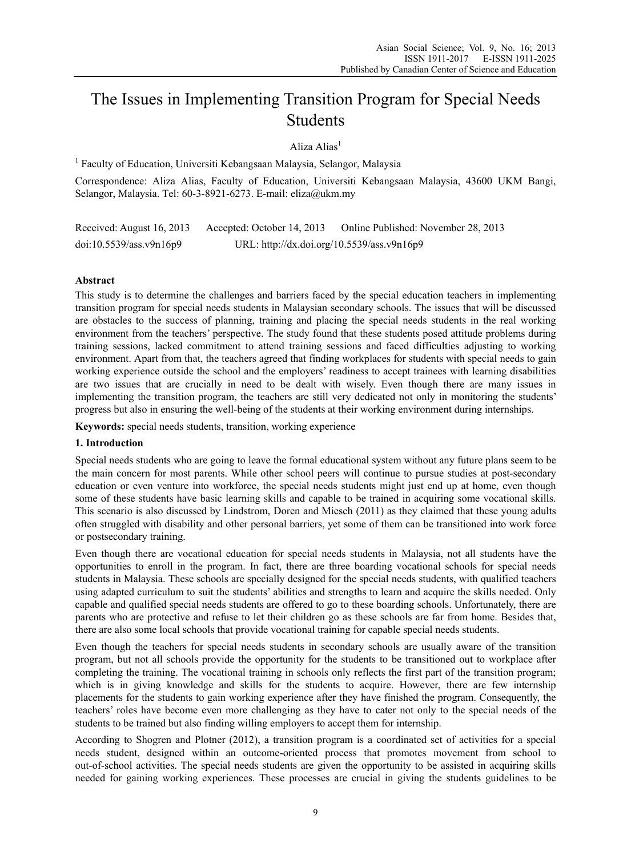# The Issues in Implementing Transition Program for Special Needs Students

Aliza Alias<sup>1</sup>

<sup>1</sup> Faculty of Education, Universiti Kebangsaan Malaysia, Selangor, Malaysia

Correspondence: Aliza Alias, Faculty of Education, Universiti Kebangsaan Malaysia, 43600 UKM Bangi, Selangor, Malaysia. Tel: 60-3-8921-6273. E-mail: eliza@ukm.my

Received: August 16, 2013 Accepted: October 14, 2013 Online Published: November 28, 2013 doi:10.5539/ass.v9n16p9 URL: http://dx.doi.org/10.5539/ass.v9n16p9

## **Abstract**

This study is to determine the challenges and barriers faced by the special education teachers in implementing transition program for special needs students in Malaysian secondary schools. The issues that will be discussed are obstacles to the success of planning, training and placing the special needs students in the real working environment from the teachers' perspective. The study found that these students posed attitude problems during training sessions, lacked commitment to attend training sessions and faced difficulties adjusting to working environment. Apart from that, the teachers agreed that finding workplaces for students with special needs to gain working experience outside the school and the employers' readiness to accept trainees with learning disabilities are two issues that are crucially in need to be dealt with wisely. Even though there are many issues in implementing the transition program, the teachers are still very dedicated not only in monitoring the students' progress but also in ensuring the well-being of the students at their working environment during internships.

**Keywords:** special needs students, transition, working experience

## **1. Introduction**

Special needs students who are going to leave the formal educational system without any future plans seem to be the main concern for most parents. While other school peers will continue to pursue studies at post-secondary education or even venture into workforce, the special needs students might just end up at home, even though some of these students have basic learning skills and capable to be trained in acquiring some vocational skills. This scenario is also discussed by Lindstrom, Doren and Miesch (2011) as they claimed that these young adults often struggled with disability and other personal barriers, yet some of them can be transitioned into work force or postsecondary training.

Even though there are vocational education for special needs students in Malaysia, not all students have the opportunities to enroll in the program. In fact, there are three boarding vocational schools for special needs students in Malaysia. These schools are specially designed for the special needs students, with qualified teachers using adapted curriculum to suit the students' abilities and strengths to learn and acquire the skills needed. Only capable and qualified special needs students are offered to go to these boarding schools. Unfortunately, there are parents who are protective and refuse to let their children go as these schools are far from home. Besides that, there are also some local schools that provide vocational training for capable special needs students.

Even though the teachers for special needs students in secondary schools are usually aware of the transition program, but not all schools provide the opportunity for the students to be transitioned out to workplace after completing the training. The vocational training in schools only reflects the first part of the transition program; which is in giving knowledge and skills for the students to acquire. However, there are few internship placements for the students to gain working experience after they have finished the program. Consequently, the teachers' roles have become even more challenging as they have to cater not only to the special needs of the students to be trained but also finding willing employers to accept them for internship.

According to Shogren and Plotner (2012), a transition program is a coordinated set of activities for a special needs student, designed within an outcome-oriented process that promotes movement from school to out-of-school activities. The special needs students are given the opportunity to be assisted in acquiring skills needed for gaining working experiences. These processes are crucial in giving the students guidelines to be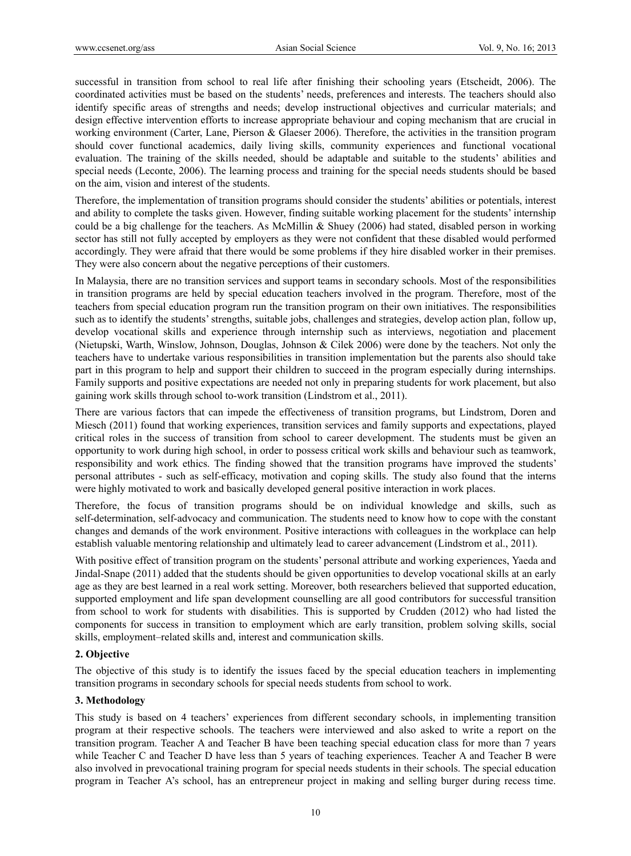successful in transition from school to real life after finishing their schooling years (Etscheidt, 2006). The coordinated activities must be based on the students' needs, preferences and interests. The teachers should also identify specific areas of strengths and needs; develop instructional objectives and curricular materials; and design effective intervention efforts to increase appropriate behaviour and coping mechanism that are crucial in working environment (Carter, Lane, Pierson & Glaeser 2006). Therefore, the activities in the transition program should cover functional academics, daily living skills, community experiences and functional vocational evaluation. The training of the skills needed, should be adaptable and suitable to the students' abilities and special needs (Leconte, 2006). The learning process and training for the special needs students should be based on the aim, vision and interest of the students.

Therefore, the implementation of transition programs should consider the students' abilities or potentials, interest and ability to complete the tasks given. However, finding suitable working placement for the students' internship could be a big challenge for the teachers. As McMillin & Shuey (2006) had stated, disabled person in working sector has still not fully accepted by employers as they were not confident that these disabled would performed accordingly. They were afraid that there would be some problems if they hire disabled worker in their premises. They were also concern about the negative perceptions of their customers.

In Malaysia, there are no transition services and support teams in secondary schools. Most of the responsibilities in transition programs are held by special education teachers involved in the program. Therefore, most of the teachers from special education program run the transition program on their own initiatives. The responsibilities such as to identify the students' strengths, suitable jobs, challenges and strategies, develop action plan, follow up, develop vocational skills and experience through internship such as interviews, negotiation and placement (Nietupski, Warth, Winslow, Johnson, Douglas, Johnson & Cilek 2006) were done by the teachers. Not only the teachers have to undertake various responsibilities in transition implementation but the parents also should take part in this program to help and support their children to succeed in the program especially during internships. Family supports and positive expectations are needed not only in preparing students for work placement, but also gaining work skills through school to-work transition (Lindstrom et al., 2011).

There are various factors that can impede the effectiveness of transition programs, but Lindstrom, Doren and Miesch (2011) found that working experiences, transition services and family supports and expectations, played critical roles in the success of transition from school to career development. The students must be given an opportunity to work during high school, in order to possess critical work skills and behaviour such as teamwork, responsibility and work ethics. The finding showed that the transition programs have improved the students' personal attributes - such as self-efficacy, motivation and coping skills. The study also found that the interns were highly motivated to work and basically developed general positive interaction in work places.

Therefore, the focus of transition programs should be on individual knowledge and skills, such as self-determination, self-advocacy and communication. The students need to know how to cope with the constant changes and demands of the work environment. Positive interactions with colleagues in the workplace can help establish valuable mentoring relationship and ultimately lead to career advancement (Lindstrom et al., 2011).

With positive effect of transition program on the students' personal attribute and working experiences, Yaeda and Jindal-Snape (2011) added that the students should be given opportunities to develop vocational skills at an early age as they are best learned in a real work setting. Moreover, both researchers believed that supported education, supported employment and life span development counselling are all good contributors for successful transition from school to work for students with disabilities. This is supported by Crudden (2012) who had listed the components for success in transition to employment which are early transition, problem solving skills, social skills, employment–related skills and, interest and communication skills.

# **2. Objective**

The objective of this study is to identify the issues faced by the special education teachers in implementing transition programs in secondary schools for special needs students from school to work.

# **3. Methodology**

This study is based on 4 teachers' experiences from different secondary schools, in implementing transition program at their respective schools. The teachers were interviewed and also asked to write a report on the transition program. Teacher A and Teacher B have been teaching special education class for more than 7 years while Teacher C and Teacher D have less than 5 years of teaching experiences. Teacher A and Teacher B were also involved in prevocational training program for special needs students in their schools. The special education program in Teacher A's school, has an entrepreneur project in making and selling burger during recess time.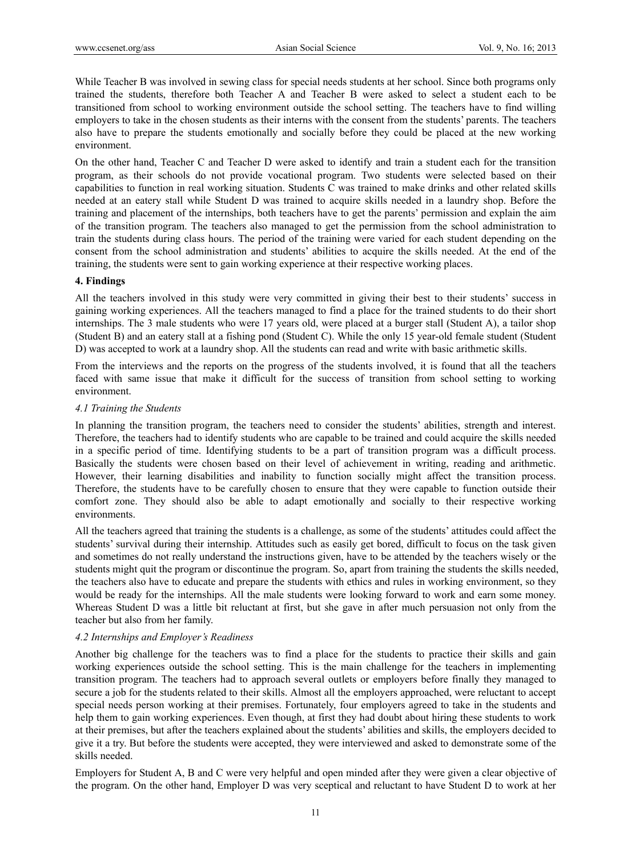While Teacher B was involved in sewing class for special needs students at her school. Since both programs only trained the students, therefore both Teacher A and Teacher B were asked to select a student each to be transitioned from school to working environment outside the school setting. The teachers have to find willing employers to take in the chosen students as their interns with the consent from the students' parents. The teachers also have to prepare the students emotionally and socially before they could be placed at the new working environment.

On the other hand, Teacher C and Teacher D were asked to identify and train a student each for the transition program, as their schools do not provide vocational program. Two students were selected based on their capabilities to function in real working situation. Students C was trained to make drinks and other related skills needed at an eatery stall while Student D was trained to acquire skills needed in a laundry shop. Before the training and placement of the internships, both teachers have to get the parents' permission and explain the aim of the transition program. The teachers also managed to get the permission from the school administration to train the students during class hours. The period of the training were varied for each student depending on the consent from the school administration and students' abilities to acquire the skills needed. At the end of the training, the students were sent to gain working experience at their respective working places.

## **4. Findings**

All the teachers involved in this study were very committed in giving their best to their students' success in gaining working experiences. All the teachers managed to find a place for the trained students to do their short internships. The 3 male students who were 17 years old, were placed at a burger stall (Student A), a tailor shop (Student B) and an eatery stall at a fishing pond (Student C). While the only 15 year-old female student (Student D) was accepted to work at a laundry shop. All the students can read and write with basic arithmetic skills.

From the interviews and the reports on the progress of the students involved, it is found that all the teachers faced with same issue that make it difficult for the success of transition from school setting to working environment.

#### *4.1 Training the Students*

In planning the transition program, the teachers need to consider the students' abilities, strength and interest. Therefore, the teachers had to identify students who are capable to be trained and could acquire the skills needed in a specific period of time. Identifying students to be a part of transition program was a difficult process. Basically the students were chosen based on their level of achievement in writing, reading and arithmetic. However, their learning disabilities and inability to function socially might affect the transition process. Therefore, the students have to be carefully chosen to ensure that they were capable to function outside their comfort zone. They should also be able to adapt emotionally and socially to their respective working environments.

All the teachers agreed that training the students is a challenge, as some of the students' attitudes could affect the students' survival during their internship. Attitudes such as easily get bored, difficult to focus on the task given and sometimes do not really understand the instructions given, have to be attended by the teachers wisely or the students might quit the program or discontinue the program. So, apart from training the students the skills needed, the teachers also have to educate and prepare the students with ethics and rules in working environment, so they would be ready for the internships. All the male students were looking forward to work and earn some money. Whereas Student D was a little bit reluctant at first, but she gave in after much persuasion not only from the teacher but also from her family.

## *4.2 Internships and Employer's Readiness*

Another big challenge for the teachers was to find a place for the students to practice their skills and gain working experiences outside the school setting. This is the main challenge for the teachers in implementing transition program. The teachers had to approach several outlets or employers before finally they managed to secure a job for the students related to their skills. Almost all the employers approached, were reluctant to accept special needs person working at their premises. Fortunately, four employers agreed to take in the students and help them to gain working experiences. Even though, at first they had doubt about hiring these students to work at their premises, but after the teachers explained about the students' abilities and skills, the employers decided to give it a try. But before the students were accepted, they were interviewed and asked to demonstrate some of the skills needed.

Employers for Student A, B and C were very helpful and open minded after they were given a clear objective of the program. On the other hand, Employer D was very sceptical and reluctant to have Student D to work at her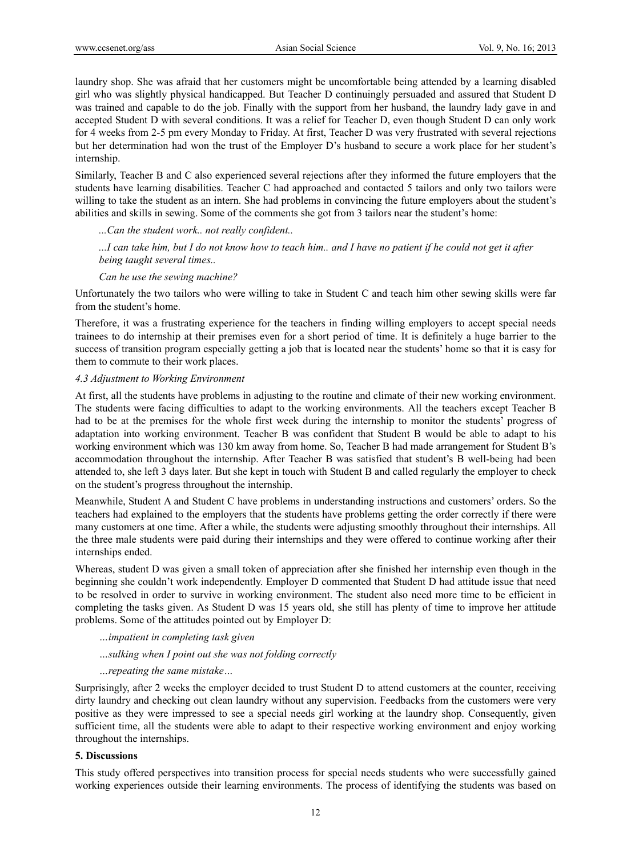laundry shop. She was afraid that her customers might be uncomfortable being attended by a learning disabled girl who was slightly physical handicapped. But Teacher D continuingly persuaded and assured that Student D was trained and capable to do the job. Finally with the support from her husband, the laundry lady gave in and accepted Student D with several conditions. It was a relief for Teacher D, even though Student D can only work for 4 weeks from 2-5 pm every Monday to Friday. At first, Teacher D was very frustrated with several rejections but her determination had won the trust of the Employer D's husband to secure a work place for her student's internship.

Similarly, Teacher B and C also experienced several rejections after they informed the future employers that the students have learning disabilities. Teacher C had approached and contacted 5 tailors and only two tailors were willing to take the student as an intern. She had problems in convincing the future employers about the student's abilities and skills in sewing. Some of the comments she got from 3 tailors near the student's home:

*...Can the student work.. not really confident..* 

*...I can take him, but I do not know how to teach him.. and I have no patient if he could not get it after being taught several times..* 

## *Can he use the sewing machine?*

Unfortunately the two tailors who were willing to take in Student C and teach him other sewing skills were far from the student's home.

Therefore, it was a frustrating experience for the teachers in finding willing employers to accept special needs trainees to do internship at their premises even for a short period of time. It is definitely a huge barrier to the success of transition program especially getting a job that is located near the students' home so that it is easy for them to commute to their work places.

## *4.3 Adjustment to Working Environment*

At first, all the students have problems in adjusting to the routine and climate of their new working environment. The students were facing difficulties to adapt to the working environments. All the teachers except Teacher B had to be at the premises for the whole first week during the internship to monitor the students' progress of adaptation into working environment. Teacher B was confident that Student B would be able to adapt to his working environment which was 130 km away from home. So, Teacher B had made arrangement for Student B's accommodation throughout the internship. After Teacher B was satisfied that student's B well-being had been attended to, she left 3 days later. But she kept in touch with Student B and called regularly the employer to check on the student's progress throughout the internship.

Meanwhile, Student A and Student C have problems in understanding instructions and customers' orders. So the teachers had explained to the employers that the students have problems getting the order correctly if there were many customers at one time. After a while, the students were adjusting smoothly throughout their internships. All the three male students were paid during their internships and they were offered to continue working after their internships ended.

Whereas, student D was given a small token of appreciation after she finished her internship even though in the beginning she couldn't work independently. Employer D commented that Student D had attitude issue that need to be resolved in order to survive in working environment. The student also need more time to be efficient in completing the tasks given. As Student D was 15 years old, she still has plenty of time to improve her attitude problems. Some of the attitudes pointed out by Employer D:

- *…impatient in completing task given*
- *…sulking when I point out she was not folding correctly*
- *…repeating the same mistake…*

Surprisingly, after 2 weeks the employer decided to trust Student D to attend customers at the counter, receiving dirty laundry and checking out clean laundry without any supervision. Feedbacks from the customers were very positive as they were impressed to see a special needs girl working at the laundry shop. Consequently, given sufficient time, all the students were able to adapt to their respective working environment and enjoy working throughout the internships.

#### **5. Discussions**

This study offered perspectives into transition process for special needs students who were successfully gained working experiences outside their learning environments. The process of identifying the students was based on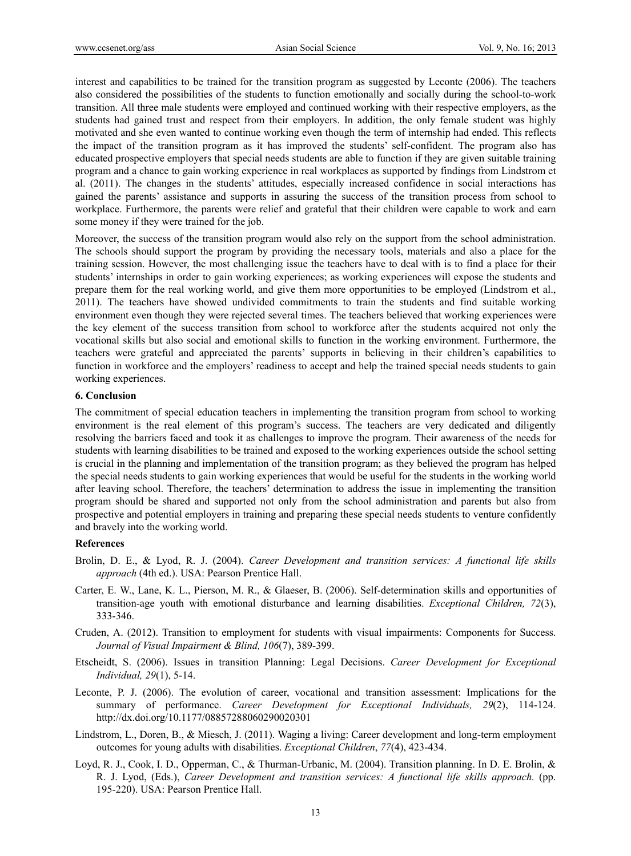interest and capabilities to be trained for the transition program as suggested by Leconte (2006). The teachers also considered the possibilities of the students to function emotionally and socially during the school-to-work transition. All three male students were employed and continued working with their respective employers, as the students had gained trust and respect from their employers. In addition, the only female student was highly motivated and she even wanted to continue working even though the term of internship had ended. This reflects the impact of the transition program as it has improved the students' self-confident. The program also has educated prospective employers that special needs students are able to function if they are given suitable training program and a chance to gain working experience in real workplaces as supported by findings from Lindstrom et al. (2011). The changes in the students' attitudes, especially increased confidence in social interactions has gained the parents' assistance and supports in assuring the success of the transition process from school to workplace. Furthermore, the parents were relief and grateful that their children were capable to work and earn some money if they were trained for the job.

Moreover, the success of the transition program would also rely on the support from the school administration. The schools should support the program by providing the necessary tools, materials and also a place for the training session. However, the most challenging issue the teachers have to deal with is to find a place for their students' internships in order to gain working experiences; as working experiences will expose the students and prepare them for the real working world, and give them more opportunities to be employed (Lindstrom et al., 2011). The teachers have showed undivided commitments to train the students and find suitable working environment even though they were rejected several times. The teachers believed that working experiences were the key element of the success transition from school to workforce after the students acquired not only the vocational skills but also social and emotional skills to function in the working environment. Furthermore, the teachers were grateful and appreciated the parents' supports in believing in their children's capabilities to function in workforce and the employers' readiness to accept and help the trained special needs students to gain working experiences.

## **6. Conclusion**

The commitment of special education teachers in implementing the transition program from school to working environment is the real element of this program's success. The teachers are very dedicated and diligently resolving the barriers faced and took it as challenges to improve the program. Their awareness of the needs for students with learning disabilities to be trained and exposed to the working experiences outside the school setting is crucial in the planning and implementation of the transition program; as they believed the program has helped the special needs students to gain working experiences that would be useful for the students in the working world after leaving school. Therefore, the teachers' determination to address the issue in implementing the transition program should be shared and supported not only from the school administration and parents but also from prospective and potential employers in training and preparing these special needs students to venture confidently and bravely into the working world.

#### **References**

- Brolin, D. E., & Lyod, R. J. (2004). *Career Development and transition services: A functional life skills approach* (4th ed.). USA: Pearson Prentice Hall.
- Carter, E. W., Lane, K. L., Pierson, M. R., & Glaeser, B. (2006). Self-determination skills and opportunities of transition-age youth with emotional disturbance and learning disabilities. *Exceptional Children, 72*(3), 333-346.
- Cruden, A. (2012). Transition to employment for students with visual impairments: Components for Success. *Journal of Visual Impairment & Blind, 106*(7), 389-399.
- Etscheidt, S. (2006). Issues in transition Planning: Legal Decisions. *Career Development for Exceptional Individual, 29*(1), 5-14.
- Leconte, P. J. (2006). The evolution of career, vocational and transition assessment: Implications for the summary of performance. *Career Development for Exceptional Individuals, 29*(2), 114-124. http://dx.doi.org/10.1177/08857288060290020301
- Lindstrom, L., Doren, B., & Miesch, J. (2011). Waging a living: Career development and long-term employment outcomes for young adults with disabilities. *Exceptional Children*, *77*(4), 423-434.
- Loyd, R. J., Cook, I. D., Opperman, C., & Thurman-Urbanic, M. (2004). Transition planning. In D. E. Brolin, & R. J. Lyod, (Eds.), *Career Development and transition services: A functional life skills approach.* (pp. 195-220). USA: Pearson Prentice Hall.